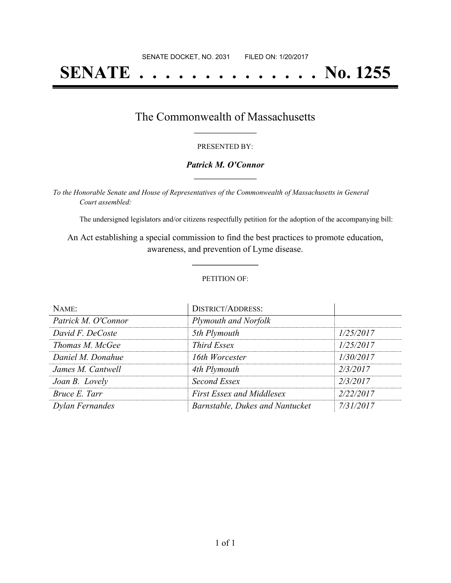# **SENATE . . . . . . . . . . . . . . No. 1255**

### The Commonwealth of Massachusetts **\_\_\_\_\_\_\_\_\_\_\_\_\_\_\_\_\_**

#### PRESENTED BY:

#### *Patrick M. O'Connor* **\_\_\_\_\_\_\_\_\_\_\_\_\_\_\_\_\_**

*To the Honorable Senate and House of Representatives of the Commonwealth of Massachusetts in General Court assembled:*

The undersigned legislators and/or citizens respectfully petition for the adoption of the accompanying bill:

An Act establishing a special commission to find the best practices to promote education, awareness, and prevention of Lyme disease.

**\_\_\_\_\_\_\_\_\_\_\_\_\_\_\_**

#### PETITION OF:

| NAME:               | <b>DISTRICT/ADDRESS:</b>         |           |
|---------------------|----------------------------------|-----------|
| Patrick M. O'Connor | Plymouth and Norfolk             |           |
| David F. DeCoste    | 5th Plymouth                     | 1/25/2017 |
| Thomas M. McGee     | <b>Third Essex</b>               | 1/25/2017 |
| Daniel M. Donahue   | 16th Worcester                   | 1/30/2017 |
| James M. Cantwell   | 4th Plymouth                     | 2/3/2017  |
| Joan B. Lovely      | Second Essex                     | 2/3/2017  |
| Bruce E. Tarr       | <b>First Essex and Middlesex</b> | 2/22/2017 |
| Dylan Fernandes     | Barnstable, Dukes and Nantucket  | 7/31/2017 |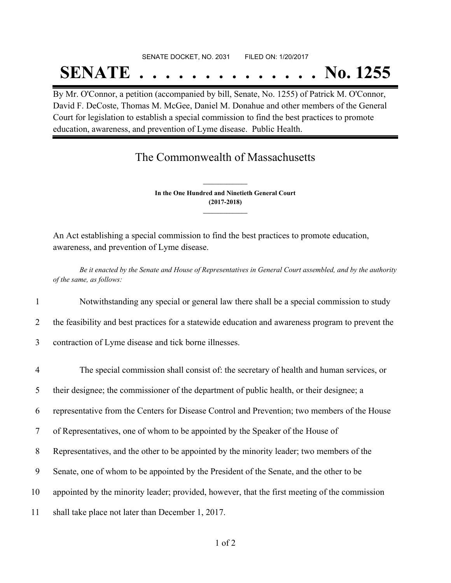## SENATE DOCKET, NO. 2031 FILED ON: 1/20/2017 **SENATE . . . . . . . . . . . . . . No. 1255**

By Mr. O'Connor, a petition (accompanied by bill, Senate, No. 1255) of Patrick M. O'Connor, David F. DeCoste, Thomas M. McGee, Daniel M. Donahue and other members of the General Court for legislation to establish a special commission to find the best practices to promote education, awareness, and prevention of Lyme disease. Public Health.

## The Commonwealth of Massachusetts

**In the One Hundred and Ninetieth General Court (2017-2018) \_\_\_\_\_\_\_\_\_\_\_\_\_\_\_**

**\_\_\_\_\_\_\_\_\_\_\_\_\_\_\_**

An Act establishing a special commission to find the best practices to promote education, awareness, and prevention of Lyme disease.

Be it enacted by the Senate and House of Representatives in General Court assembled, and by the authority *of the same, as follows:*

- 1 Notwithstanding any special or general law there shall be a special commission to study
- 2 the feasibility and best practices for a statewide education and awareness program to prevent the
- 3 contraction of Lyme disease and tick borne illnesses.
- 4 The special commission shall consist of: the secretary of health and human services, or 5 their designee; the commissioner of the department of public health, or their designee; a 6 representative from the Centers for Disease Control and Prevention; two members of the House 7 of Representatives, one of whom to be appointed by the Speaker of the House of 8 Representatives, and the other to be appointed by the minority leader; two members of the 9 Senate, one of whom to be appointed by the President of the Senate, and the other to be 10 appointed by the minority leader; provided, however, that the first meeting of the commission 11 shall take place not later than December 1, 2017.